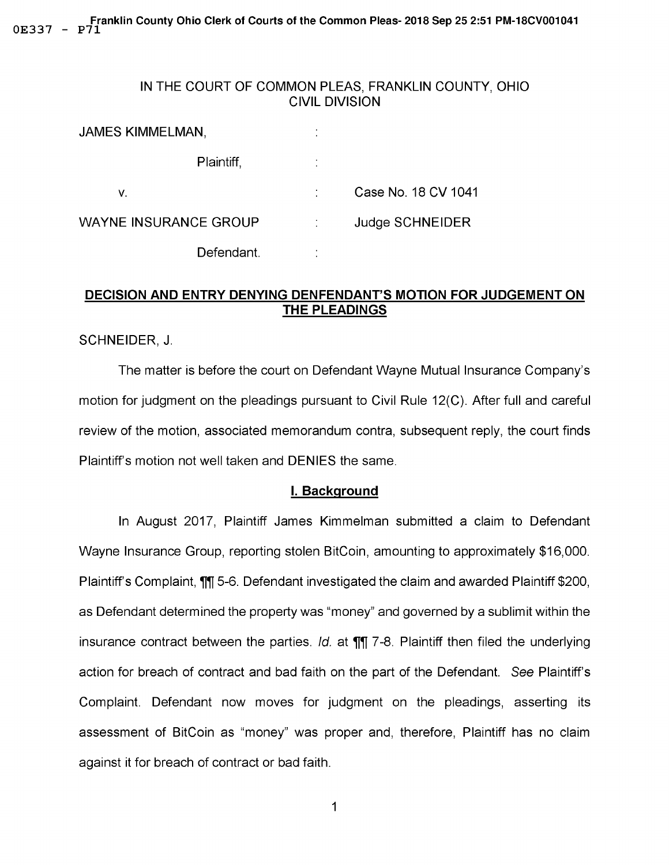**Franklin County Ohio Clerk of Courts of the Common Pleas- 2018 Sep 25 2:51 PM-18CV001041 OE337** - **P71** 

## IN THE COURT OF COMMON PLEAS, FRANKLIN COUNTY, OHIO CIVIL DIVISION

| <b>JAMES KIMMELMAN,</b>      |                        |
|------------------------------|------------------------|
| Plaintiff,                   |                        |
| v.                           | Case No. 18 CV 1041    |
| <b>WAYNE INSURANCE GROUP</b> | <b>Judge SCHNEIDER</b> |
| Defendant.                   |                        |

# **DECISION AND ENTRY DENYING DENFENDANT'S MOTION FOR JUDGEMENT ON THE PLEADINGS**

## SCHNEIDER, J.

The matter is before the court on Defendant Wayne Mutual Insurance Company's motion for judgment on the pleadings pursuant to Civil Rule 12(C). After full and careful review of the motion, associated memorandum contra, subsequent reply, the court finds Plaintiff's motion not well taken and DENIES the same.

### I. **Background**

In August 2017, Plaintiff James Kimmelman submitted a claim to Defendant Wayne Insurance Group, reporting stolen BitCoin, amounting to approximately \$16,000. Plaintiff's Complaint, **ffll** 5-6. Defendant investigated the claim and awarded Plaintiff \$200, as Defendant determined the property was "money" and governed by a sublimit within the insurance contract between the parties. *Id.* at **\\\\**m 7-8. Plaintiff then filed the underlying action for breach of contract and bad faith on the part of the Defendant. See Plaintiff's Complaint. Defendant now moves for judgment on the pleadings, asserting its assessment of BitCoin as "money" was proper and, therefore, Plaintiff has no claim against it for breach of contract or bad faith.

1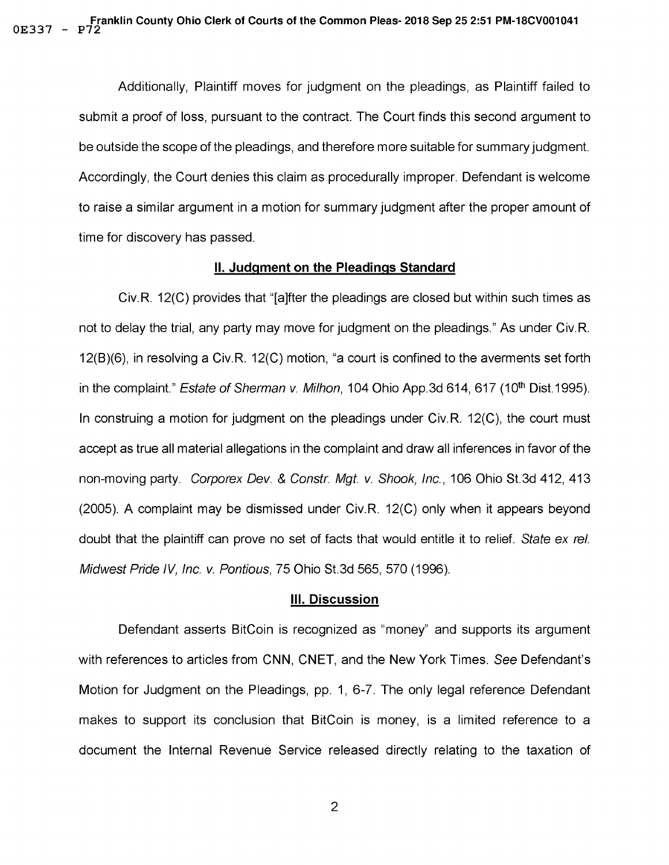Additionally, Plaintiff moves for judgment on the pleadings, as Plaintiff failed to submit a proof of loss, pursuant to the contract. The Court finds this second argument to be outside the scope of the pleadings, and therefore more suitable for summary judgment. Accordingly, the Court denies this claim as procedurally improper. Defendant is welcome to raise a similar argument in a motion for summary judgment after the proper amount of time for discovery has passed.

### II. **Judgment on the Pleadings Standard**

Civ.R. 12(C) provides that "[a]fter the pleadings are closed but within such times as not to delay the trial, any party may move for judgment on the pleadings." As under Civ.R. 12(8)(6), in resolving a Civ.R. 12(C) motion, "a court is confined to the averments set forth in the complaint." Estate of Sherman *v.* Mi/hon, 104 Ohio App.3d 614, 617 (10th Dist.1995). In construing a motion for judgment on the pleadings under Civ.R. 12(C), the court must accept as true all material allegations in the complaint and draw all inferences in favor of the non-moving party. Corporex Dev. & Constr. Mgt. *v.* Shook, Inc., 106 Ohio St.3d 412, 413 (2005). A complaint may be dismissed under Civ.R. 12(C) only when it appears beyond doubt that the plaintiff can prove no set of facts that would entitle it to relief. State ex rel. Midwest Pride IV, Inc. *v.* Pontious, 75 Ohio St.3d 565, 570 (1996).

#### **Ill. Discussion**

Defendant asserts BitCoin is recognized as "money" and supports its argument with references to articles from **CNN,** CNET, and the New York Times. See Defendant's Motion for Judgment on the Pleadings, pp. 1, 6-7. The only legal reference Defendant makes to support its conclusion that BitCoin is money, is a limited reference to a document the Internal Revenue Service released directly relating to the taxation of

2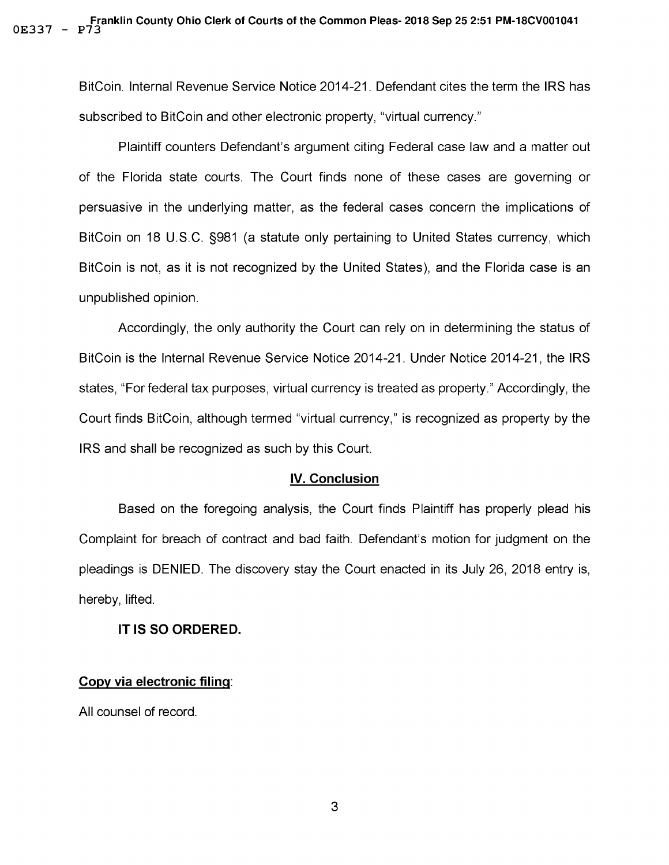BitCoin. Internal Revenue Service Notice 2014-21. Defendant cites the term the IRS has subscribed to BitCoin and other electronic property, "virtual currency."

Plaintiff counters Defendant's argument citing Federal case law and a matter out of the Florida state courts. The Court finds none of these cases are governing or persuasive in the underlying matter, as the federal cases concern the implications of BitCoin on 18 U.S.C. §981 (a statute only pertaining to United States currency, which BitCoin is not, as it is not recognized by the United States), and the Florida case is an unpublished opinion.

Accordingly, the only authority the Court can rely on in determining the status of BitCoin is the Internal Revenue Service Notice 2014-21. Under Notice 2014-21, the IRS states, "For federal tax purposes, virtual currency is treated as property." Accordingly, the Court finds BitCoin, although termed "virtual currency," is recognized as property by the IRS and shall be recognized as such by this Court.

#### **IV. Conclusion**

Based on the foregoing analysis, the Court finds Plaintiff has properly plead his Complaint for breach of contract and bad faith. Defendant's motion for judgment on the pleadings is **DENIED.** The discovery stay the Court enacted in its July 26, 2018 entry is, hereby, lifted.

### **IT IS SO ORDERED.**

## **Copy via electronic filing:**

All counsel of record.

3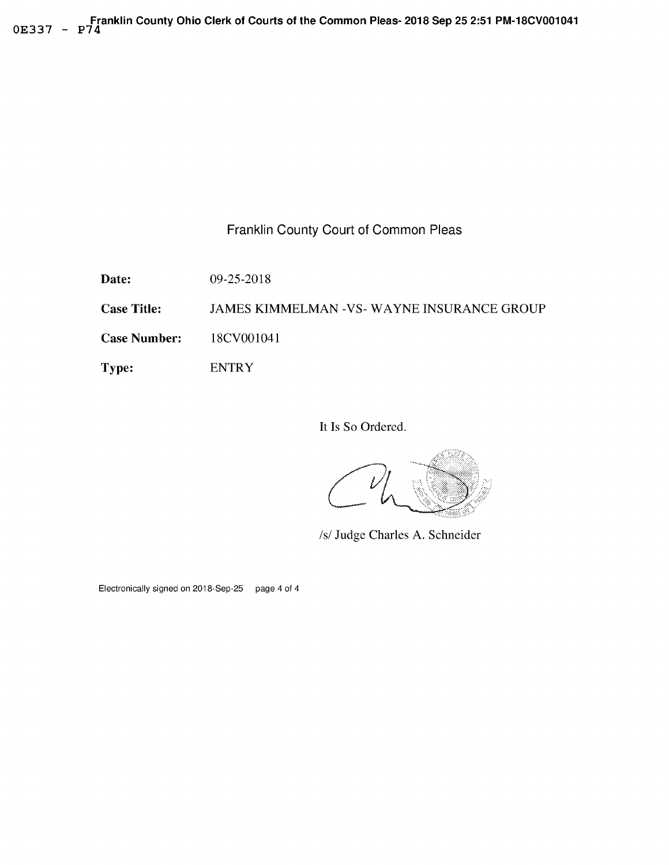**Franklin County Ohio Clerk of Courts of the Common Pleas- 2018 Sep 25 2:51 PM-18CV001041**  0E337 -

Franklin County Court of Common Pleas

**Date:**  09-25-2018

**Case Title:**  JAMES KIMMELMAN -VS-WAYNE INSURANCE GROUP

**Case Number:**  18CV001041

**Type:**  ENTRY

It Is So Ordered.

 $:$   $\mathbb{R}\times$ *CJ~l!i* 

/s/ Judge Charles A. Schneider

Electronically signed on 2018-Sep-25 page 4 of 4